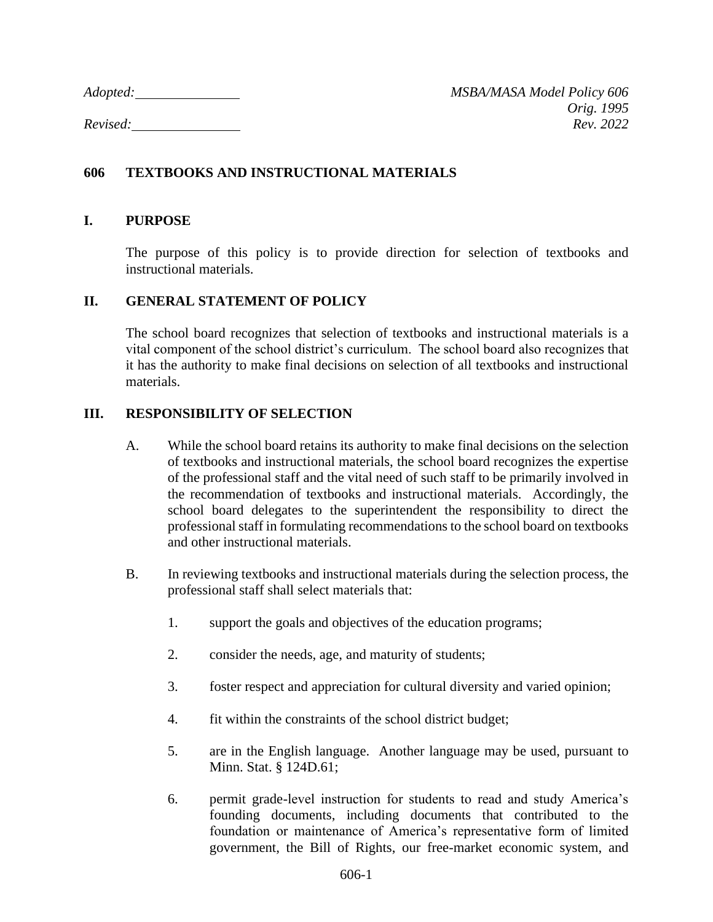*Adopted: MSBA/MASA Model Policy 606 Orig. 1995 Revised: Rev. 2022*

# **606 TEXTBOOKS AND INSTRUCTIONAL MATERIALS**

#### **I. PURPOSE**

The purpose of this policy is to provide direction for selection of textbooks and instructional materials.

#### **II. GENERAL STATEMENT OF POLICY**

The school board recognizes that selection of textbooks and instructional materials is a vital component of the school district's curriculum. The school board also recognizes that it has the authority to make final decisions on selection of all textbooks and instructional materials.

### **III. RESPONSIBILITY OF SELECTION**

- A. While the school board retains its authority to make final decisions on the selection of textbooks and instructional materials, the school board recognizes the expertise of the professional staff and the vital need of such staff to be primarily involved in the recommendation of textbooks and instructional materials. Accordingly, the school board delegates to the superintendent the responsibility to direct the professional staff in formulating recommendations to the school board on textbooks and other instructional materials.
- B. In reviewing textbooks and instructional materials during the selection process, the professional staff shall select materials that:
	- 1. support the goals and objectives of the education programs;
	- 2. consider the needs, age, and maturity of students;
	- 3. foster respect and appreciation for cultural diversity and varied opinion;
	- 4. fit within the constraints of the school district budget;
	- 5. are in the English language. Another language may be used, pursuant to Minn. Stat. § 124D.61;
	- 6. permit grade-level instruction for students to read and study America's founding documents, including documents that contributed to the foundation or maintenance of America's representative form of limited government, the Bill of Rights, our free-market economic system, and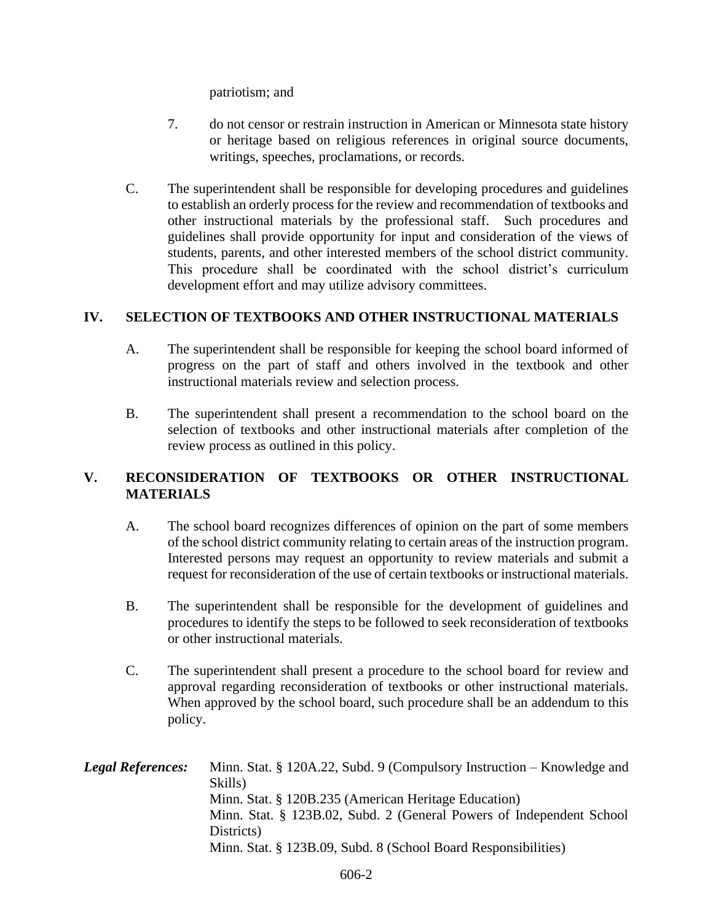patriotism; and

- 7. do not censor or restrain instruction in American or Minnesota state history or heritage based on religious references in original source documents, writings, speeches, proclamations, or records.
- C. The superintendent shall be responsible for developing procedures and guidelines to establish an orderly process for the review and recommendation of textbooks and other instructional materials by the professional staff. Such procedures and guidelines shall provide opportunity for input and consideration of the views of students, parents, and other interested members of the school district community. This procedure shall be coordinated with the school district's curriculum development effort and may utilize advisory committees.

## **IV. SELECTION OF TEXTBOOKS AND OTHER INSTRUCTIONAL MATERIALS**

- A. The superintendent shall be responsible for keeping the school board informed of progress on the part of staff and others involved in the textbook and other instructional materials review and selection process.
- B. The superintendent shall present a recommendation to the school board on the selection of textbooks and other instructional materials after completion of the review process as outlined in this policy.

## **V. RECONSIDERATION OF TEXTBOOKS OR OTHER INSTRUCTIONAL MATERIALS**

- A. The school board recognizes differences of opinion on the part of some members of the school district community relating to certain areas of the instruction program. Interested persons may request an opportunity to review materials and submit a request for reconsideration of the use of certain textbooks or instructional materials.
- B. The superintendent shall be responsible for the development of guidelines and procedures to identify the steps to be followed to seek reconsideration of textbooks or other instructional materials.
- C. The superintendent shall present a procedure to the school board for review and approval regarding reconsideration of textbooks or other instructional materials. When approved by the school board, such procedure shall be an addendum to this policy.

| <b>Legal References:</b> | Minn. Stat. § 120A.22, Subd. 9 (Compulsory Instruction – Knowledge and<br>Skills) |
|--------------------------|-----------------------------------------------------------------------------------|
|                          | Minn. Stat. § 120B.235 (American Heritage Education)                              |
|                          | Minn. Stat. § 123B.02, Subd. 2 (General Powers of Independent School              |
|                          | Districts)                                                                        |
|                          | Minn. Stat. § 123B.09, Subd. 8 (School Board Responsibilities)                    |